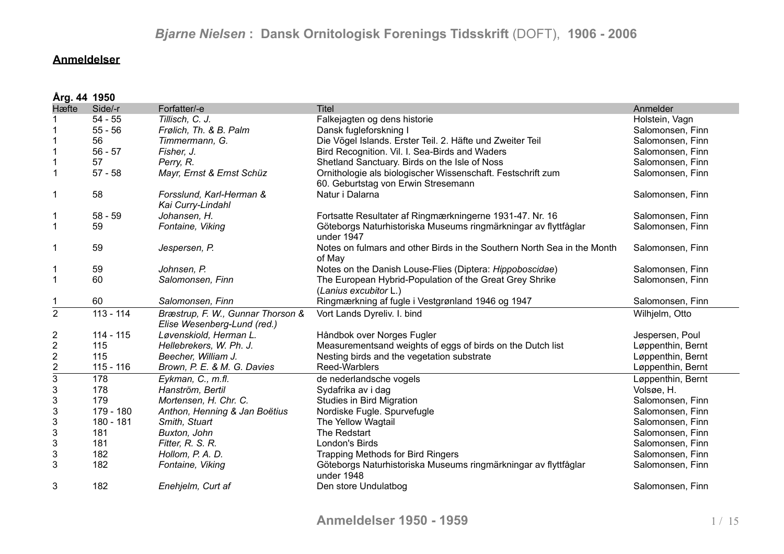### **Anmeldelser**

|                           | Årg. 44 1950 |                                                                  |                                                                                                    |                   |  |  |
|---------------------------|--------------|------------------------------------------------------------------|----------------------------------------------------------------------------------------------------|-------------------|--|--|
| Hæfte                     | Side/-r      | Forfatter/-e                                                     | <b>Titel</b>                                                                                       | Anmelder          |  |  |
|                           | $54 - 55$    | Tillisch, C. J.                                                  | Falkejagten og dens historie                                                                       | Holstein, Vagn    |  |  |
|                           | $55 - 56$    | Frølich, Th. & B. Palm                                           | Dansk fugleforskning I                                                                             | Salomonsen, Finn  |  |  |
|                           | 56           | Timmermann, G.                                                   | Die Vögel Islands. Erster Teil. 2. Häfte und Zweiter Teil                                          | Salomonsen, Finn  |  |  |
|                           | $56 - 57$    | Fisher, J.                                                       | Bird Recognition. Vil. I. Sea-Birds and Waders                                                     | Salomonsen, Finn  |  |  |
|                           | 57           | Perry, R.                                                        | Shetland Sanctuary. Birds on the Isle of Noss                                                      | Salomonsen, Finn  |  |  |
| $\mathbf{1}$              | $57 - 58$    | Mayr, Ernst & Ernst Schüz                                        | Ornithologie als biologischer Wissenschaft. Festschrift zum<br>60. Geburtstag von Erwin Stresemann | Salomonsen, Finn  |  |  |
| 1                         | 58           | Forsslund, Karl-Herman &<br>Kai Curry-Lindahl                    | Natur i Dalarna                                                                                    | Salomonsen, Finn  |  |  |
| 1                         | $58 - 59$    | Johansen, H.                                                     | Fortsatte Resultater af Ringmærkningerne 1931-47. Nr. 16                                           | Salomonsen, Finn  |  |  |
| $\mathbf{1}$              | 59           | Fontaine, Viking                                                 | Göteborgs Naturhistoriska Museums ringmärkningar av flyttfåglar<br>under 1947                      | Salomonsen, Finn  |  |  |
| 1                         | 59           | Jespersen, P.                                                    | Notes on fulmars and other Birds in the Southern North Sea in the Month<br>of May                  | Salomonsen, Finn  |  |  |
|                           | 59           | Johnsen, P.                                                      | Notes on the Danish Louse-Flies (Diptera: Hippoboscidae)                                           | Salomonsen, Finn  |  |  |
| $\mathbf{1}$              | 60           | Salomonsen, Finn                                                 | The European Hybrid-Population of the Great Grey Shrike<br>(Lanius excubitor L.)                   | Salomonsen, Finn  |  |  |
|                           | 60           | Salomonsen, Finn                                                 | Ringmærkning af fugle i Vestgrønland 1946 og 1947                                                  | Salomonsen, Finn  |  |  |
| $\overline{2}$            | $113 - 114$  | Bræstrup, F. W., Gunnar Thorson &<br>Elise Wesenberg-Lund (red.) | Vort Lands Dyreliv. I. bind                                                                        | Wilhjelm, Otto    |  |  |
| $\overline{\mathbf{c}}$   | $114 - 115$  | Løvenskiold, Herman L.                                           | Håndbok over Norges Fugler                                                                         | Jespersen, Poul   |  |  |
| $\overline{2}$            | 115          | Hellebrekers, W. Ph. J.                                          | Measurementsand weights of eggs of birds on the Dutch list                                         | Løppenthin, Bernt |  |  |
| $\boldsymbol{2}$          | 115          | Beecher, William J.                                              | Nesting birds and the vegetation substrate                                                         | Løppenthin, Bernt |  |  |
| $rac{2}{3}$               | $115 - 116$  | Brown, P. E. & M. G. Davies                                      | Reed-Warblers                                                                                      | Løppenthin, Bernt |  |  |
|                           | 178          | Eykman, C., m.fl.                                                | de nederlandsche vogels                                                                            | Løppenthin, Bernt |  |  |
| $\mathsf 3$               | 178          | Hanström, Bertil                                                 | Sydafrika av i dag                                                                                 | Volsøe, H.        |  |  |
| $\mathsf 3$               | 179          | Mortensen, H. Chr. C.                                            | <b>Studies in Bird Migration</b>                                                                   | Salomonsen, Finn  |  |  |
| $\mathsf 3$               | 179 - 180    | Anthon, Henning & Jan Boëtius                                    | Nordiske Fugle. Spurvefugle                                                                        | Salomonsen, Finn  |  |  |
| $\sqrt{3}$                | 180 - 181    | Smith, Stuart                                                    | The Yellow Wagtail                                                                                 | Salomonsen, Finn  |  |  |
| $\sqrt{3}$                | 181          | Buxton, John                                                     | The Redstart                                                                                       | Salomonsen, Finn  |  |  |
| $\mathsf 3$               | 181          | Fitter, R. S. R.                                                 | London's Birds                                                                                     | Salomonsen, Finn  |  |  |
| $\ensuremath{\mathsf{3}}$ | 182          | Hollom, P. A. D.                                                 | <b>Trapping Methods for Bird Ringers</b>                                                           | Salomonsen, Finn  |  |  |
| 3                         | 182          | Fontaine, Viking                                                 | Göteborgs Naturhistoriska Museums ringmärkningar av flyttfåglar<br>under 1948                      | Salomonsen, Finn  |  |  |
| 3                         | 182          | Enehjelm, Curt af                                                | Den store Undulatbog                                                                               | Salomonsen, Finn  |  |  |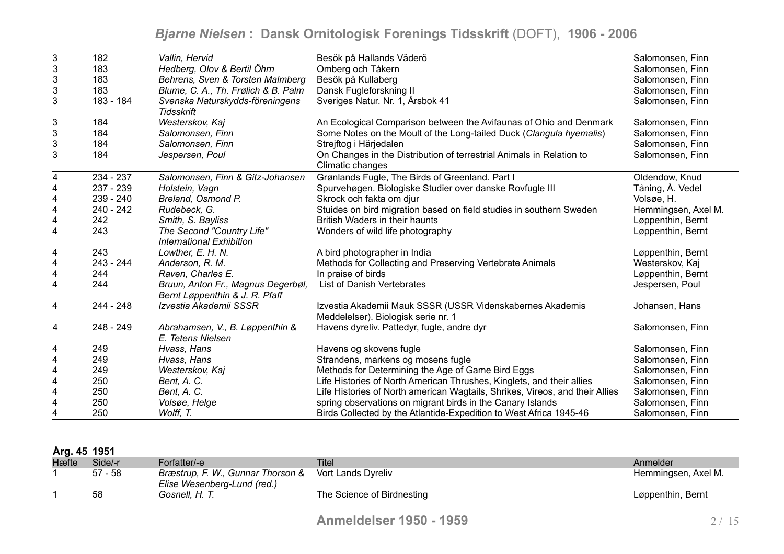| 3                         | 182         | Vallin, Hervid                                                       | Besök på Hallands Väderö                                                                         | Salomonsen, Finn    |
|---------------------------|-------------|----------------------------------------------------------------------|--------------------------------------------------------------------------------------------------|---------------------|
| 3                         | 183         | Hedberg, Olov & Bertil Öhrn                                          | Omberg och Tåkern                                                                                | Salomonsen, Finn    |
| 3                         | 183         | Behrens, Sven & Torsten Malmberg                                     | Besök på Kullaberg                                                                               | Salomonsen, Finn    |
| $\ensuremath{\mathsf{3}}$ | 183         | Blume, C. A., Th. Frølich & B. Palm                                  | Dansk Fugleforskning II                                                                          | Salomonsen, Finn    |
| 3                         | 183 - 184   | Svenska Naturskydds-föreningens<br>Tidsskrift                        | Sveriges Natur. Nr. 1, Årsbok 41                                                                 | Salomonsen, Finn    |
| 3                         | 184         | Westerskov, Kaj                                                      | An Ecological Comparison between the Avifaunas of Ohio and Denmark                               | Salomonsen, Finn    |
| $\ensuremath{\mathsf{3}}$ | 184         | Salomonsen, Finn                                                     | Some Notes on the Moult of the Long-tailed Duck (Clangula hyemalis)                              | Salomonsen, Finn    |
| 3                         | 184         | Salomonsen, Finn                                                     | Strejftog i Härjedalen                                                                           | Salomonsen, Finn    |
| 3                         | 184         | Jespersen, Poul                                                      | On Changes in the Distribution of terrestrial Animals in Relation to<br>Climatic changes         | Salomonsen, Finn    |
| 4                         | 234 - 237   | Salomonsen, Finn & Gitz-Johansen                                     | Grønlands Fugle, The Birds of Greenland. Part I                                                  | Oldendow, Knud      |
| 4                         | 237 - 239   | Holstein, Vagn                                                       | Spurvehøgen. Biologiske Studier over danske Rovfugle III                                         | Tåning, Å. Vedel    |
| 4                         | 239 - 240   | Breland, Osmond P.                                                   | Skrock och fakta om djur                                                                         | Volsøe, H.          |
| 4                         | 240 - 242   | Rudebeck, G.                                                         | Stuides on bird migration based on field studies in southern Sweden                              | Hemmingsen, Axel M. |
| 4                         | 242         | Smith, S. Bayliss                                                    | British Waders in their haunts                                                                   | Løppenthin, Bernt   |
| 4                         | 243         | The Second "Country Life"<br>International Exhibition                | Wonders of wild life photography                                                                 | Løppenthin, Bernt   |
| 4                         | 243         | Lowther, E. H. N.                                                    | A bird photographer in India                                                                     | Løppenthin, Bernt   |
| 4                         | $243 - 244$ | Anderson, R. M.                                                      | Methods for Collecting and Preserving Vertebrate Animals                                         | Westerskov, Kaj     |
| 4                         | 244         | Raven, Charles E.                                                    | In praise of birds                                                                               | Løppenthin, Bernt   |
| $\overline{\mathbf{4}}$   | 244         | Bruun, Anton Fr., Magnus Degerbøl,<br>Bernt Løppenthin & J. R. Pfaff | List of Danish Vertebrates                                                                       | Jespersen, Poul     |
| $\overline{4}$            | $244 - 248$ | Izvestia Akademii SSSR                                               | Izvestia Akademii Mauk SSSR (USSR Videnskabernes Akademis<br>Meddelelser). Biologisk serie nr. 1 | Johansen, Hans      |
| 4                         | 248 - 249   | Abrahamsen, V., B. Løppenthin &<br>E. Tetens Nielsen                 | Havens dyreliv. Pattedyr, fugle, andre dyr                                                       | Salomonsen, Finn    |
| 4                         | 249         | Hvass, Hans                                                          | Havens og skovens fugle                                                                          | Salomonsen, Finn    |
| $\overline{4}$            | 249         | Hvass, Hans                                                          | Strandens, markens og mosens fugle                                                               | Salomonsen, Finn    |
| $\overline{\mathbf{4}}$   | 249         | Westerskov, Kaj                                                      | Methods for Determining the Age of Game Bird Eggs                                                | Salomonsen, Finn    |
| 4                         | 250         | Bent, A. C.                                                          | Life Histories of North American Thrushes, Kinglets, and their allies                            | Salomonsen, Finn    |
| 4                         | 250         | Bent, A. C.                                                          | Life Histories of North american Wagtails, Shrikes, Vireos, and their Allies                     | Salomonsen, Finn    |
| 4                         | 250         | Volsøe, Helge                                                        | spring observations on migrant birds in the Canary Islands                                       | Salomonsen, Finn    |
| 4                         | 250         | Wolff, T.                                                            | Birds Collected by the Atlantide-Expedition to West Africa 1945-46                               | Salomonsen, Finn    |

| Årg. 45 1951 |  |  |  |
|--------------|--|--|--|
|--------------|--|--|--|

| Hæfte | Side/-r   | Forfatter/-e                                                     | Tite                       | Anmelder            |
|-------|-----------|------------------------------------------------------------------|----------------------------|---------------------|
|       | $57 - 58$ | Bræstrup, F. W., Gunnar Thorson &<br>Elise Wesenberg-Lund (red.) | Vort Lands Dyreliv         | Hemmingsen, Axel M. |
|       | 58        | Gosnell, H. T.                                                   | The Science of Birdnesting | Løppenthin, Bernt   |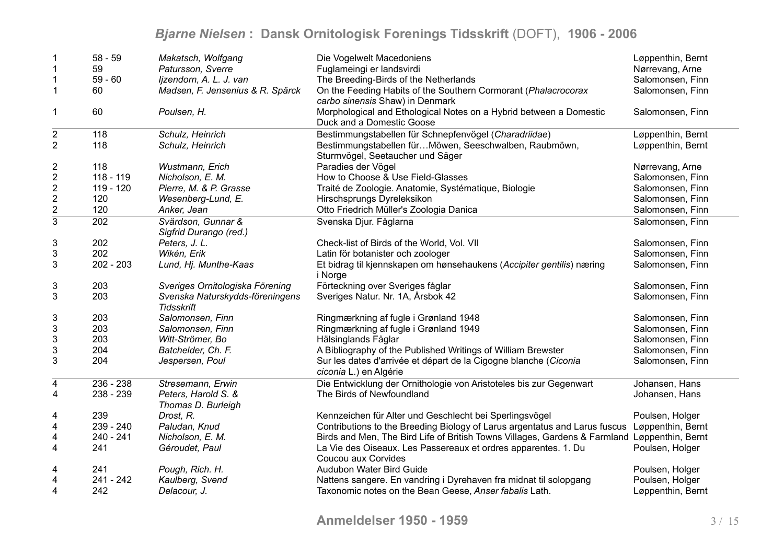| -1                        | $58 - 59$   | Makatsch, Wolfgang                                   | Die Vogelwelt Macedoniens                                                                         | Løppenthin, Bernt |
|---------------------------|-------------|------------------------------------------------------|---------------------------------------------------------------------------------------------------|-------------------|
| $\mathbf 1$               | 59          | Patursson, Sverre                                    | Fuglameingi er landsvirdi                                                                         | Nørrevang, Arne   |
| $\mathbf{1}$              | $59 - 60$   | Ijzendorn, A. L. J. van                              | The Breeding-Birds of the Netherlands                                                             | Salomonsen, Finn  |
| $\mathbf{1}$              | 60          | Madsen, F. Jensenius & R. Spärck                     | On the Feeding Habits of the Southern Cormorant (Phalacrocorax<br>carbo sinensis Shaw) in Denmark | Salomonsen, Finn  |
| 1                         | 60          | Poulsen, H.                                          | Morphological and Ethological Notes on a Hybrid between a Domestic<br>Duck and a Domestic Goose   | Salomonsen, Finn  |
| $\mathbf 2$               | 118         | Schulz, Heinrich                                     | Bestimmungstabellen für Schnepfenvögel (Charadriidae)                                             | Løppenthin, Bernt |
| $\overline{2}$            | 118         | Schulz, Heinrich                                     | Bestimmungstabellen fürMöwen, Seeschwalben, Raubmöwn,<br>Sturmvögel, Seetaucher und Säger         | Løppenthin, Bernt |
| $\overline{\mathbf{c}}$   | 118         | Wustmann, Erich                                      | Paradies der Vögel                                                                                | Nørrevang, Arne   |
| $\overline{2}$            | 118 - 119   | Nicholson, E. M.                                     | How to Choose & Use Field-Glasses                                                                 | Salomonsen, Finn  |
| $\boldsymbol{2}$          | 119 - 120   | Pierre, M. & P. Grasse                               | Traité de Zoologie. Anatomie, Systématique, Biologie                                              | Salomonsen, Finn  |
| $\overline{\mathbf{c}}$   | 120         | Wesenberg-Lund, E.                                   | Hirschsprungs Dyreleksikon                                                                        | Salomonsen, Finn  |
| $rac{2}{3}$               | 120         | Anker, Jean                                          | Otto Friedrich Müller's Zoologia Danica                                                           | Salomonsen, Finn  |
|                           | 202         | Svärdson, Gunnar &<br>Sigfrid Durango (red.)         | Svenska Djur. Fåglarna                                                                            | Salomonsen, Finn  |
| $\ensuremath{\mathsf{3}}$ | 202         | Peters, J. L.                                        | Check-list of Birds of the World, Vol. VII                                                        | Salomonsen, Finn  |
| $\ensuremath{\mathsf{3}}$ | 202         | Wikén, Erik                                          | Latin för botanister och zoologer                                                                 | Salomonsen, Finn  |
| 3                         | $202 - 203$ | Lund, Hj. Munthe-Kaas                                | Et bidrag til kjennskapen om hønsehaukens (Accipiter gentilis) næring<br>i Norge                  | Salomonsen, Finn  |
| 3                         | 203         | Sveriges Ornitologiska Förening                      | Förteckning over Sveriges fåglar                                                                  | Salomonsen, Finn  |
| $\mathsf 3$               | 203         | Svenska Naturskydds-föreningens<br><b>Tidsskrift</b> | Sveriges Natur. Nr. 1A, Årsbok 42                                                                 | Salomonsen, Finn  |
| 3                         | 203         | Salomonsen, Finn                                     | Ringmærkning af fugle i Grønland 1948                                                             | Salomonsen, Finn  |
| $\ensuremath{\mathsf{3}}$ | 203         | Salomonsen, Finn                                     | Ringmærkning af fugle i Grønland 1949                                                             | Salomonsen, Finn  |
| $\ensuremath{\mathsf{3}}$ | 203         | Witt-Strömer, Bo                                     | Hälsinglands Fåglar                                                                               | Salomonsen, Finn  |
| 3                         | 204         | Batchelder, Ch. F.                                   | A Bibliography of the Published Writings of William Brewster                                      | Salomonsen, Finn  |
| 3                         | 204         | Jespersen, Poul                                      | Sur les dates d'arrivée et départ de la Cigogne blanche (Ciconia<br>ciconia L.) en Algérie        | Salomonsen, Finn  |
| 4                         | $236 - 238$ | Stresemann, Erwin                                    | Die Entwicklung der Ornithologie von Aristoteles bis zur Gegenwart                                | Johansen, Hans    |
| $\overline{\mathbf{4}}$   | 238 - 239   | Peters, Harold S. &<br>Thomas D. Burleigh            | The Birds of Newfoundland                                                                         | Johansen, Hans    |
| 4                         | 239         | Drost, R.                                            | Kennzeichen für Alter und Geschlecht bei Sperlingsvögel                                           | Poulsen, Holger   |
| 4                         | 239 - 240   | Paludan, Knud                                        | Contributions to the Breeding Biology of Larus argentatus and Larus fuscus Løppenthin, Bernt      |                   |
| 4                         | 240 - 241   | Nicholson, E. M.                                     | Birds and Men, The Bird Life of British Towns Villages, Gardens & Farmland Løppenthin, Bernt      |                   |
| $\overline{\mathbf{4}}$   | 241         | Géroudet, Paul                                       | La Vie des Oiseaux. Les Passereaux et ordres apparentes. 1. Du<br>Coucou aux Corvides             | Poulsen, Holger   |
| 4                         | 241         | Pough, Rich. H.                                      | Audubon Water Bird Guide                                                                          | Poulsen, Holger   |
| 4                         | 241 - 242   | Kaulberg, Svend                                      | Nattens sangere. En vandring i Dyrehaven fra midnat til solopgang                                 | Poulsen, Holger   |
| $\overline{\mathbf{4}}$   | 242         | Delacour, J.                                         | Taxonomic notes on the Bean Geese, Anser fabalis Lath.                                            | Løppenthin, Bernt |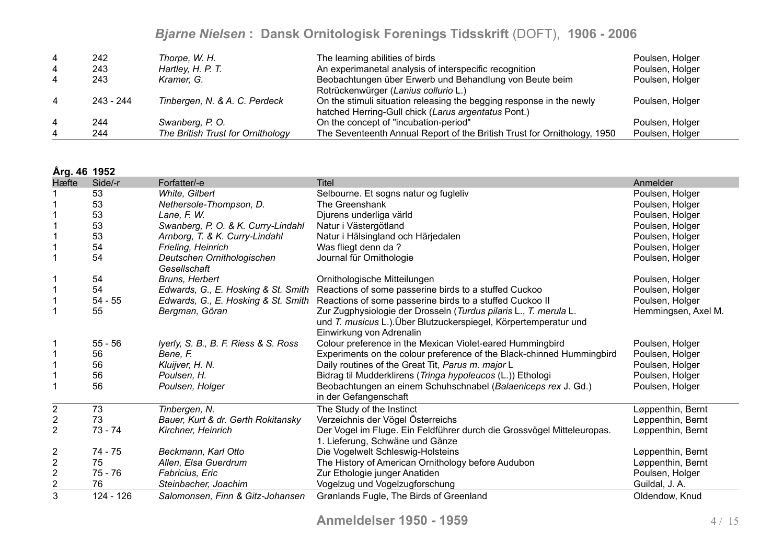| 4 | 242       | Thorpe, W. H.                     | The learning abilities of birds                                                                                             | Poulsen, Holger |
|---|-----------|-----------------------------------|-----------------------------------------------------------------------------------------------------------------------------|-----------------|
| 4 | 243       | Hartley, H. P. T.                 | An experimanetal analysis of interspecific recognition                                                                      | Poulsen, Holger |
| 4 | 243       | Kramer, G.                        | Beobachtungen über Erwerb und Behandlung von Beute beim<br>Rotrückenwürger (Lanius collurio L.)                             | Poulsen, Holger |
| 4 | 243 - 244 | Tinbergen, N. & A. C. Perdeck     | On the stimuli situation releasing the begging response in the newly<br>hatched Herring-Gull chick (Larus argentatus Pont.) | Poulsen, Holger |
| 4 | 244       | Swanberg, P.O.                    | On the concept of "incubation-period"                                                                                       | Poulsen, Holger |
|   | 244       | The British Trust for Ornithology | The Seventeenth Annual Report of the British Trust for Ornithology, 1950                                                    | Poulsen, Holger |

**Årg. 46 1952**

| Hæfte            | Side/-r   | Forfatter/-e                               | <b>Titel</b>                                                                                                                                                     | Anmelder            |
|------------------|-----------|--------------------------------------------|------------------------------------------------------------------------------------------------------------------------------------------------------------------|---------------------|
|                  | 53        | White, Gilbert                             | Selbourne. Et sogns natur og fugleliv                                                                                                                            | Poulsen, Holger     |
|                  | 53        | Nethersole-Thompson, D.                    | The Greenshank                                                                                                                                                   | Poulsen, Holger     |
|                  | 53        | Lane, F. W.                                | Djurens underliga värld                                                                                                                                          | Poulsen, Holger     |
|                  | 53        | Swanberg, P. O. & K. Curry-Lindahl         | Natur i Västergötland                                                                                                                                            | Poulsen, Holger     |
|                  | 53        | Arnborg, T. & K. Curry-Lindahl             | Natur i Hälsingland och Härjedalen                                                                                                                               | Poulsen, Holger     |
|                  | 54        | Frieling, Heinrich                         | Was fliegt denn da?                                                                                                                                              | Poulsen, Holger     |
|                  | 54        | Deutschen Ornithologischen<br>Gesellschaft | Journal für Ornithologie                                                                                                                                         | Poulsen, Holger     |
|                  | 54        | Bruns, Herbert                             | Ornithologische Mitteilungen                                                                                                                                     | Poulsen, Holger     |
|                  | 54        |                                            | Edwards, G., E. Hosking & St. Smith Reactions of some passerine birds to a stuffed Cuckoo                                                                        | Poulsen, Holger     |
|                  | $54 - 55$ |                                            | Edwards, G., E. Hosking & St. Smith Reactions of some passerine birds to a stuffed Cuckoo II                                                                     | Poulsen, Holger     |
|                  | 55        | Bergman, Göran                             | Zur Zugphysiologie der Drosseln (Turdus pilaris L., T. merula L.<br>und T. musicus L.). Über Blutzuckerspiegel, Körpertemperatur und<br>Einwirkung von Adrenalin | Hemmingsen, Axel M. |
|                  | $55 - 56$ | Iyerly, S. B., B. F. Riess & S. Ross       | Colour preference in the Mexican Violet-eared Hummingbird                                                                                                        | Poulsen, Holger     |
|                  | 56        | Bene, F.                                   | Experiments on the colour preference of the Black-chinned Hummingbird                                                                                            | Poulsen, Holger     |
|                  | 56        | Kluijver, H. N.                            | Daily routines of the Great Tit, Parus m. major L                                                                                                                | Poulsen, Holger     |
|                  | 56        | Poulsen, H.                                | Bidrag til Mudderklirens (Tringa hypoleucos (L.)) Ethologi                                                                                                       | Poulsen, Holger     |
|                  | 56        | Poulsen, Holger                            | Beobachtungen an einem Schuhschnabel (Balaeniceps rex J. Gd.)<br>in der Gefangenschaft                                                                           | Poulsen, Holger     |
| $\boldsymbol{2}$ | 73        | Tinbergen, N.                              | The Study of the Instinct                                                                                                                                        | Løppenthin, Bernt   |
| $\sqrt{2}$       | 73        | Bauer, Kurt & dr. Gerth Rokitansky         | Verzeichnis der Vögel Österreichs                                                                                                                                | Løppenthin, Bernt   |
| $\overline{2}$   | $73 - 74$ | Kirchner, Heinrich                         | Der Vogel im Fluge. Ein Feldführer durch die Grossvögel Mitteleuropas.<br>1. Lieferung, Schwäne und Gänze                                                        | Løppenthin, Bernt   |
| $\overline{c}$   | 74 - 75   | Beckmann, Karl Otto                        | Die Vogelwelt Schleswig-Holsteins                                                                                                                                | Løppenthin, Bernt   |
| $\frac{2}{2}$    | 75        | Allen, Elsa Guerdrum                       | The History of American Ornithology before Audubon                                                                                                               | Løppenthin, Bernt   |
|                  | $75 - 76$ | Fabricius, Eric                            | Zur Ethologie junger Anatiden                                                                                                                                    | Poulsen, Holger     |
| $\overline{2}$   | 76        | Steinbacher, Joachim                       | Vogelzug und Vogelzugforschung                                                                                                                                   | Guildal, J.A.       |
| 3                | 124 - 126 | Salomonsen, Finn & Gitz-Johansen           | Grønlands Fugle, The Birds of Greenland                                                                                                                          | Oldendow, Knud      |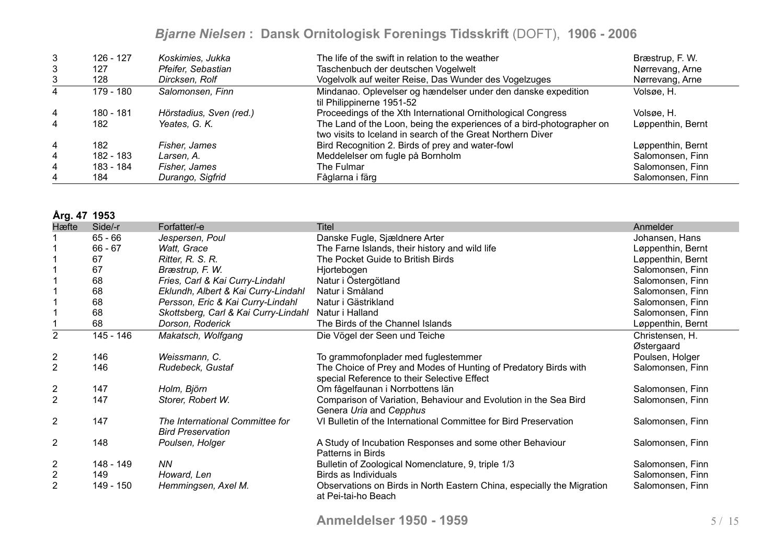| 3              | 126 - 127 | Koskimies, Jukka        | The life of the swift in relation to the weather                                                                                     | Bræstrup, F. W.   |
|----------------|-----------|-------------------------|--------------------------------------------------------------------------------------------------------------------------------------|-------------------|
| 3              | 127       | Pfeifer, Sebastian      | Taschenbuch der deutschen Vogelwelt                                                                                                  | Nørrevang, Arne   |
| 3              | 128       | Dircksen, Rolf          | Vogelvolk auf weiter Reise, Das Wunder des Vogelzuges                                                                                | Nørrevang, Arne   |
|                | 179 - 180 | Salomonsen, Finn        | Mindanao. Oplevelser og hændelser under den danske expedition<br>til Philippinerne 1951-52                                           | Volsøe, H.        |
| $\overline{4}$ | 180 - 181 | Hörstadius, Sven (red.) | Proceedings of the Xth International Ornithological Congress                                                                         | Volsøe, H.        |
| 4              | 182       | Yeates, G. K.           | The Land of the Loon, being the experiences of a bird-photographer on<br>two visits to Iceland in search of the Great Northern Diver | Løppenthin, Bernt |
| 4              | 182       | Fisher, James           | Bird Recognition 2. Birds of prey and water-fowl                                                                                     | Løppenthin, Bernt |
| 4              | 182 - 183 | Larsen. A.              | Meddelelser om fugle på Bornholm                                                                                                     | Salomonsen, Finn  |
| 4              | 183 - 184 | Fisher, James           | The Fulmar                                                                                                                           | Salomonsen, Finn  |
| 4              | 184       | Durango, Sigfrid        | Fåglarna i färg                                                                                                                      | Salomonsen, Finn  |

#### **Årg. 47 1953**

| Hæfte                   | Side/-r   | Forfatter/-e                                                | <b>Titel</b>                                                                                                   | Anmelder          |
|-------------------------|-----------|-------------------------------------------------------------|----------------------------------------------------------------------------------------------------------------|-------------------|
|                         | $65 - 66$ | Jespersen, Poul                                             | Danske Fugle, Sjældnere Arter                                                                                  | Johansen, Hans    |
|                         | $66 - 67$ | Watt, Grace                                                 | The Farne Islands, their history and wild life                                                                 | Løppenthin, Bernt |
|                         | 67        | Ritter, R. S. R.                                            | The Pocket Guide to British Birds                                                                              | Løppenthin, Bernt |
|                         | 67        | Bræstrup, F. W.                                             | Hjortebogen                                                                                                    | Salomonsen, Finn  |
|                         | 68        | Fries, Carl & Kai Curry-Lindahl                             | Natur i Östergötland                                                                                           | Salomonsen, Finn  |
|                         | 68        | Eklundh, Albert & Kai Curry-Lindahl                         | Natur i Småland                                                                                                | Salomonsen, Finn  |
|                         | 68        | Persson, Eric & Kai Curry-Lindahl                           | Natur i Gästrikland                                                                                            | Salomonsen, Finn  |
|                         | 68        | Skottsberg, Carl & Kai Curry-Lindahl                        | Natur i Halland                                                                                                | Salomonsen, Finn  |
|                         | 68        | Dorson, Roderick                                            | The Birds of the Channel Islands                                                                               | Løppenthin, Bernt |
| $\overline{2}$          | 145 - 146 | Makatsch, Wolfgang                                          | Die Vögel der Seen und Teiche                                                                                  | Christensen, H.   |
|                         |           |                                                             |                                                                                                                | Østergaard        |
| $\overline{c}$          | 146       | Weissmann, C.                                               | To grammofonplader med fuglestemmer                                                                            | Poulsen, Holger   |
| $\overline{2}$          | 146       | Rudebeck, Gustaf                                            | The Choice of Prey and Modes of Hunting of Predatory Birds with<br>special Reference to their Selective Effect | Salomonsen, Finn  |
| $\overline{2}$          | 147       | Holm, Björn                                                 | Om fågelfaunan i Norrbottens län                                                                               | Salomonsen, Finn  |
| 2                       | 147       | Storer, Robert W.                                           | Comparison of Variation, Behaviour and Evolution in the Sea Bird<br>Genera Uria and Cepphus                    | Salomonsen, Finn  |
| $\overline{2}$          | 147       | The International Committee for<br><b>Bird Preservation</b> | VI Bulletin of the International Committee for Bird Preservation                                               | Salomonsen, Finn  |
| $\overline{2}$          | 148       | Poulsen, Holger                                             | A Study of Incubation Responses and some other Behaviour<br>Patterns in Birds                                  | Salomonsen, Finn  |
| $\overline{2}$          | 148 - 149 | <b>NN</b>                                                   | Bulletin of Zoological Nomenclature, 9, triple 1/3                                                             | Salomonsen, Finn  |
| $\overline{\mathbf{c}}$ | 149       | Howard, Len                                                 | Birds as Individuals                                                                                           | Salomonsen, Finn  |
| $\overline{2}$          | 149 - 150 | Hemmingsen, Axel M.                                         | Observations on Birds in North Eastern China, especially the Migration<br>at Pei-tai-ho Beach                  | Salomonsen, Finn  |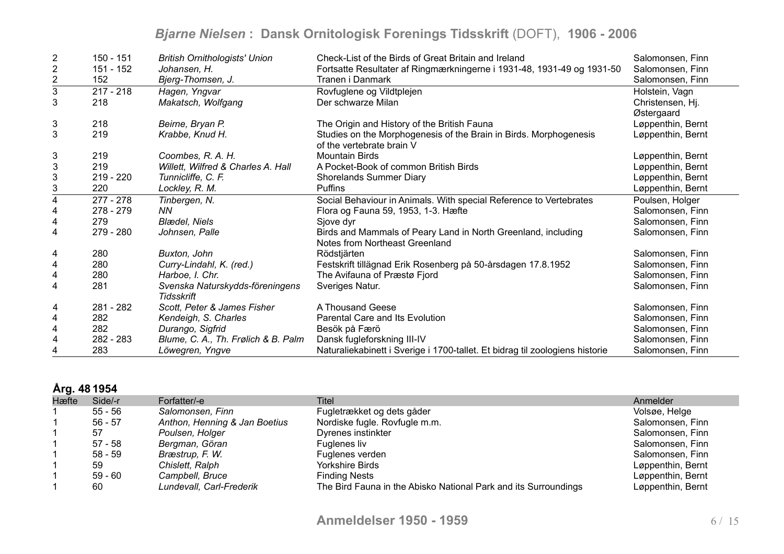| $\overline{2}$          | 150 - 151   | <b>British Ornithologists' Union</b> | Check-List of the Birds of Great Britain and Ireland                         | Salomonsen, Finn  |
|-------------------------|-------------|--------------------------------------|------------------------------------------------------------------------------|-------------------|
| $\overline{2}$          | 151 - 152   | Johansen, H.                         | Fortsatte Resultater af Ringmærkningerne i 1931-48, 1931-49 og 1931-50       | Salomonsen, Finn  |
| $\overline{2}$          | 152         | Bjerg-Thomsen, J.                    | Tranen i Danmark                                                             | Salomonsen, Finn  |
| $\overline{3}$          | $217 - 218$ | Hagen, Yngvar                        | Rovfuglene og Vildtplejen                                                    | Holstein, Vagn    |
| 3                       | 218         | Makatsch, Wolfgang                   | Der schwarze Milan                                                           | Christensen, Hj.  |
|                         |             |                                      |                                                                              | Østergaard        |
| 3                       | 218         | Beirne, Bryan P.                     | The Origin and History of the British Fauna                                  | Løppenthin, Bernt |
| 3                       | 219         | Krabbe, Knud H.                      | Studies on the Morphogenesis of the Brain in Birds. Morphogenesis            | Løppenthin, Bernt |
|                         |             |                                      | of the vertebrate brain V                                                    |                   |
| 3                       | 219         | Coombes, R. A. H.                    | <b>Mountain Birds</b>                                                        | Løppenthin, Bernt |
| $\mathbf{3}$            | 219         | Willett, Wilfred & Charles A. Hall   | A Pocket-Book of common British Birds                                        | Løppenthin, Bernt |
| $\sqrt{3}$              | $219 - 220$ | Tunnicliffe, C. F.                   | <b>Shorelands Summer Diary</b>                                               | Løppenthin, Bernt |
| 3                       | 220         | Lockley, R. M.                       | Puffins                                                                      | Løppenthin, Bernt |
| $\overline{4}$          | $277 - 278$ | Tinbergen, N.                        | Social Behaviour in Animals. With special Reference to Vertebrates           | Poulsen, Holger   |
| 4                       | $278 - 279$ | NN.                                  | Flora og Fauna 59, 1953, 1-3. Hæfte                                          | Salomonsen, Finn  |
| 4                       | 279         | <b>Blædel, Niels</b>                 | Sjove dyr                                                                    | Salomonsen, Finn  |
| 4                       | 279 - 280   | Johnsen, Palle                       | Birds and Mammals of Peary Land in North Greenland, including                | Salomonsen, Finn  |
|                         |             |                                      | Notes from Northeast Greenland                                               |                   |
| 4                       | 280         | Buxton, John                         | Rödstjärten                                                                  | Salomonsen, Finn  |
| 4                       | 280         | Curry-Lindahl, K. (red.)             | Festskrift tillägnad Erik Rosenberg på 50-årsdagen 17.8.1952                 | Salomonsen, Finn  |
| 4                       | 280         | Harboe, I. Chr.                      | The Avifauna of Præstø Fjord                                                 | Salomonsen, Finn  |
| $\overline{\mathbf{4}}$ | 281         | Svenska Naturskydds-föreningens      | Sveriges Natur.                                                              | Salomonsen, Finn  |
|                         |             | Tidsskrift                           |                                                                              |                   |
| 4                       | 281 - 282   | Scott, Peter & James Fisher          | A Thousand Geese                                                             | Salomonsen, Finn  |
| 4                       | 282         | Kendeigh, S. Charles                 | Parental Care and Its Evolution                                              | Salomonsen, Finn  |
| 4                       | 282         | Durango, Sigfrid                     | Besök på Færö                                                                | Salomonsen, Finn  |
| 4                       | 282 - 283   | Blume, C. A., Th. Frølich & B. Palm  | Dansk fugleforskning III-IV                                                  | Salomonsen, Finn  |
|                         | 283         | Löwegren, Yngve                      | Naturaliekabinett i Sverige i 1700-tallet. Et bidrag til zoologiens historie | Salomonsen, Finn  |

### **Årg. 48 1954**

| Hæfte | Side/-r   | Forfatter/-e                  | <b>Titel</b>                                                    | Anmelder          |
|-------|-----------|-------------------------------|-----------------------------------------------------------------|-------------------|
|       | 55 - 56   | Salomonsen, Finn              | Fugletrækket og dets gåder                                      | Volsøe, Helge     |
|       | $56 - 57$ | Anthon, Henning & Jan Boetius | Nordiske fugle. Rovfugle m.m.                                   | Salomonsen, Finn  |
|       | 57        | Poulsen, Holger               | Dyrenes instinkter                                              | Salomonsen, Finn  |
|       | 57 - 58   | Bergman, Göran                | Fuglenes liv                                                    | Salomonsen, Finn  |
|       | 58 - 59   | Bræstrup, F. W.               | Fuglenes verden                                                 | Salomonsen, Finn  |
|       | 59        | Chislett, Ralph               | Yorkshire Birds                                                 | Løppenthin, Bernt |
|       | $59 - 60$ | Campbell, Bruce               | <b>Finding Nests</b>                                            | Løppenthin, Bernt |
|       | 60        | Lundevall, Carl-Frederik      | The Bird Fauna in the Abisko National Park and its Surroundings | Løppenthin, Bernt |
|       |           |                               |                                                                 |                   |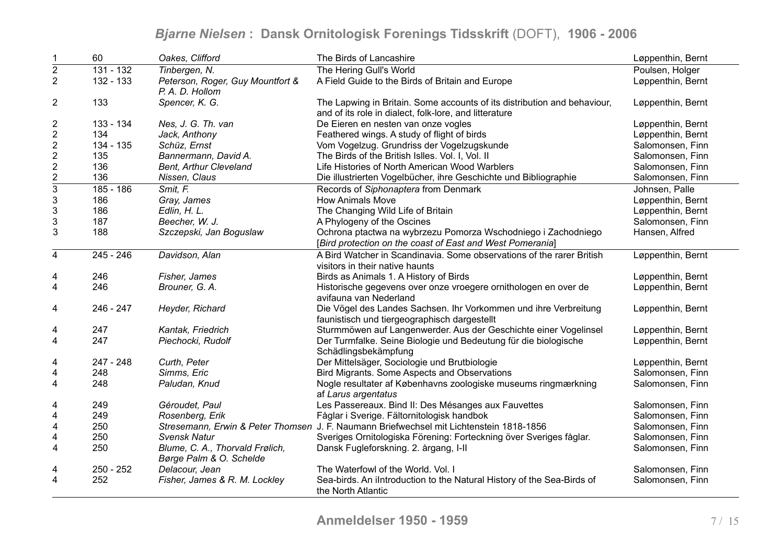| $\mathbf 1$               | 60          | Oakes, Clifford                                            | The Birds of Lancashire                                                                                                            | Løppenthin, Bernt |
|---------------------------|-------------|------------------------------------------------------------|------------------------------------------------------------------------------------------------------------------------------------|-------------------|
| $\overline{2}$            | 131 - 132   | Tinbergen, N.                                              | The Hering Gull's World                                                                                                            | Poulsen, Holger   |
| $\overline{2}$            | 132 - 133   | Peterson, Roger, Guy Mountfort &<br>P. A. D. Hollom        | A Field Guide to the Birds of Britain and Europe                                                                                   | Løppenthin, Bernt |
| 2                         | 133         | Spencer, K. G.                                             | The Lapwing in Britain. Some accounts of its distribution and behaviour,<br>and of its role in dialect, folk-lore, and litterature | Løppenthin, Bernt |
| $\overline{c}$            | 133 - 134   | Nes, J. G. Th. van                                         | De Eieren en nesten van onze vogles                                                                                                | Løppenthin, Bernt |
| $\overline{2}$            | 134         | Jack, Anthony                                              | Feathered wings. A study of flight of birds                                                                                        | Løppenthin, Bernt |
| $\overline{\mathbf{c}}$   | 134 - 135   | Schüz, Ernst                                               | Vom Vogelzug. Grundriss der Vogelzugskunde                                                                                         | Salomonsen, Finn  |
| $\boldsymbol{2}$          | 135         | Bannermann, David A.                                       | The Birds of the British Islles. Vol. I, Vol. II                                                                                   | Salomonsen, Finn  |
|                           | 136         | Bent, Arthur Cleveland                                     | Life Histories of North American Wood Warblers                                                                                     | Salomonsen, Finn  |
| $rac{2}{3}$               | 136         | Nissen, Claus                                              | Die illustrierten Vogelbücher, ihre Geschichte und Bibliographie                                                                   | Salomonsen, Finn  |
|                           | $185 - 186$ | Smit, F.                                                   | Records of Siphonaptera from Denmark                                                                                               | Johnsen, Palle    |
| $\sqrt{3}$                | 186         | Gray, James                                                | <b>How Animals Move</b>                                                                                                            | Løppenthin, Bernt |
| $\ensuremath{\mathsf{3}}$ | 186         | Edlin, H. L.                                               | The Changing Wild Life of Britain                                                                                                  | Løppenthin, Bernt |
| $\ensuremath{\mathsf{3}}$ | 187         | Beecher, W. J.                                             | A Phylogeny of the Oscines                                                                                                         | Salomonsen, Finn  |
| 3                         | 188         | Szczepski, Jan Boguslaw                                    | Ochrona ptactwa na wybrzezu Pomorza Wschodniego i Zachodniego                                                                      | Hansen, Alfred    |
|                           |             |                                                            | [Bird protection on the coast of East and West Pomerania]                                                                          |                   |
| 4                         | $245 - 246$ | Davidson, Alan                                             | A Bird Watcher in Scandinavia. Some observations of the rarer British                                                              | Løppenthin, Bernt |
|                           |             |                                                            | visitors in their native haunts                                                                                                    |                   |
| 4                         | 246         | Fisher, James                                              | Birds as Animals 1. A History of Birds                                                                                             | Løppenthin, Bernt |
| $\overline{\mathbf{4}}$   | 246         | Brouner, G. A.                                             | Historische gegevens over onze vroegere ornithologen en over de<br>avifauna van Nederland                                          | Løppenthin, Bernt |
| 4                         | 246 - 247   | Heyder, Richard                                            | Die Vögel des Landes Sachsen. Ihr Vorkommen und ihre Verbreitung<br>faunistisch und tiergeographisch dargestellt                   | Løppenthin, Bernt |
| 4                         | 247         | Kantak, Friedrich                                          | Sturmmöwen auf Langenwerder. Aus der Geschichte einer Vogelinsel                                                                   | Løppenthin, Bernt |
| $\overline{\mathbf{4}}$   | 247         | Piechocki, Rudolf                                          | Der Turmfalke. Seine Biologie und Bedeutung für die biologische<br>Schädlingsbekämpfung                                            | Løppenthin, Bernt |
| 4                         | 247 - 248   | Curth, Peter                                               | Der Mittelsäger, Sociologie und Brutbiologie                                                                                       | Løppenthin, Bernt |
| $\overline{\mathbf{4}}$   | 248         | Simms, Eric                                                | Bird Migrants. Some Aspects and Observations                                                                                       | Salomonsen, Finn  |
| $\overline{\mathbf{4}}$   | 248         | Paludan, Knud                                              | Nogle resultater af Københavns zoologiske museums ringmærkning<br>af Larus argentatus                                              | Salomonsen, Finn  |
| 4                         | 249         | Géroudet, Paul                                             | Les Passereaux. Bind II: Des Mésanges aux Fauvettes                                                                                | Salomonsen, Finn  |
| 4                         | 249         | Rosenberg, Erik                                            | Fåglar i Sverige. Fältornitologisk handbok                                                                                         | Salomonsen, Finn  |
| $\overline{\mathbf{4}}$   | 250         |                                                            | Stresemann, Erwin & Peter Thomsen J. F. Naumann Briefwechsel mit Lichtenstein 1818-1856                                            | Salomonsen, Finn  |
| 4                         | 250         | <b>Svensk Natur</b>                                        | Sveriges Ornitologiska Förening: Forteckning över Sveriges fåglar.                                                                 | Salomonsen, Finn  |
| $\overline{\mathbf{4}}$   | 250         | Blume, C. A., Thorvald Frølich,<br>Børge Palm & O. Schelde | Dansk Fugleforskning. 2. årgang, I-II                                                                                              | Salomonsen, Finn  |
| 4                         | 250 - 252   | Delacour, Jean                                             | The Waterfowl of the World. Vol. I                                                                                                 | Salomonsen, Finn  |
| 4                         | 252         | Fisher, James & R. M. Lockley                              | Sea-birds. An ilntroduction to the Natural History of the Sea-Birds of<br>the North Atlantic                                       | Salomonsen, Finn  |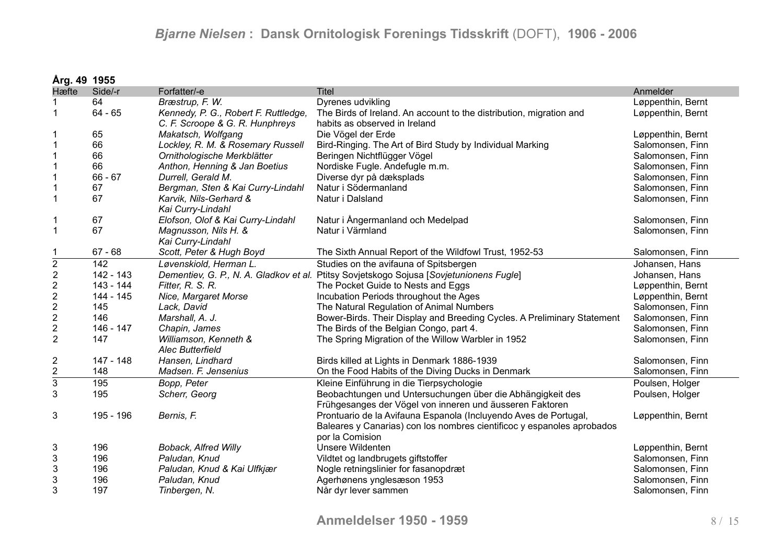| Årg. 49 1955              |             |                                      |                                                                                         |                   |
|---------------------------|-------------|--------------------------------------|-----------------------------------------------------------------------------------------|-------------------|
| Hæfte                     | Side/-r     | Forfatter/-e                         | <b>Titel</b>                                                                            | Anmelder          |
|                           | 64          | Bræstrup, F. W.                      | Dyrenes udvikling                                                                       | Løppenthin, Bernt |
| $\mathbf{1}$              | $64 - 65$   | Kennedy, P. G., Robert F. Ruttledge, | The Birds of Ireland. An account to the distribution, migration and                     | Løppenthin, Bernt |
|                           |             | C. F. Scroope & G. R. Hunphreys      | habits as observed in Ireland                                                           |                   |
| $\mathbf 1$               | 65          | Makatsch, Wolfgang                   | Die Vögel der Erde                                                                      | Løppenthin, Bernt |
| $\mathbf 1$               | 66          | Lockley, R. M. & Rosemary Russell    | Bird-Ringing. The Art of Bird Study by Individual Marking                               | Salomonsen, Finn  |
| $\mathbf 1$               | 66          | Ornithologische Merkblätter          | Beringen Nichtflügger Vögel                                                             | Salomonsen, Finn  |
| 1                         | 66          | Anthon, Henning & Jan Boetius        | Nordiske Fugle. Andefugle m.m.                                                          | Salomonsen, Finn  |
|                           | $66 - 67$   | Durrell, Gerald M.                   | Diverse dyr på dæksplads                                                                | Salomonsen, Finn  |
| 1                         | 67          | Bergman, Sten & Kai Curry-Lindahl    | Natur i Södermanland                                                                    | Salomonsen, Finn  |
| $\mathbf{1}$              | 67          | Karvik, Nils-Gerhard &               | Natur i Dalsland                                                                        | Salomonsen, Finn  |
|                           |             | Kai Curry-Lindahl                    |                                                                                         |                   |
| 1                         | 67          | Elofson, Olof & Kai Curry-Lindahl    | Natur i Ångermanland och Medelpad                                                       | Salomonsen, Finn  |
| $\mathbf{1}$              | 67          | Magnusson, Nils H. &                 | Natur i Värmland                                                                        | Salomonsen, Finn  |
|                           |             | Kai Curry-Lindahl                    |                                                                                         |                   |
|                           | $67 - 68$   | Scott, Peter & Hugh Boyd             | The Sixth Annual Report of the Wildfowl Trust, 1952-53                                  | Salomonsen, Finn  |
| $\overline{2}$            | 142         | Løvenskiold, Herman L.               | Studies on the avifauna of Spitsbergen                                                  | Johansen, Hans    |
| $\sqrt{2}$                | $142 - 143$ |                                      | Dementiev, G. P., N. A. Gladkov et al. Ptitsy Sovjetskogo Sojusa [Sovjetunionens Fugle] | Johansen, Hans    |
| $\boldsymbol{2}$          | 143 - 144   | Fitter, R. S. R.                     | The Pocket Guide to Nests and Eggs                                                      | Løppenthin, Bernt |
| $\boldsymbol{2}$          | 144 - 145   | Nice, Margaret Morse                 | Incubation Periods throughout the Ages                                                  | Løppenthin, Bernt |
| $\sqrt{2}$                | 145         | Lack, David                          | The Natural Regulation of Animal Numbers                                                | Salomonsen, Finn  |
| $\sqrt{2}$                | 146         | Marshall, A. J.                      | Bower-Birds. Their Display and Breeding Cycles. A Preliminary Statement                 | Salomonsen, Finn  |
| $\mathbf{2}$              | 146 - 147   | Chapin, James                        | The Birds of the Belgian Congo, part 4.                                                 | Salomonsen, Finn  |
| $\mathbf 2$               | 147         | Williamson, Kenneth &                | The Spring Migration of the Willow Warbler in 1952                                      | Salomonsen, Finn  |
|                           |             | <b>Alec Butterfield</b>              |                                                                                         |                   |
| $\overline{2}$            | 147 - 148   | Hansen, Lindhard                     | Birds killed at Lights in Denmark 1886-1939                                             | Salomonsen, Finn  |
| $\mathbf 2$               | 148         | Madsen. F. Jensenius                 | On the Food Habits of the Diving Ducks in Denmark                                       | Salomonsen, Finn  |
| $\overline{3}$            | 195         | Bopp, Peter                          | Kleine Einführung in die Tierpsychologie                                                | Poulsen, Holger   |
| 3                         | 195         | Scherr, Georg                        | Beobachtungen und Untersuchungen über die Abhängigkeit des                              | Poulsen, Holger   |
|                           |             |                                      | Frühgesanges der Vögel von inneren und äusseren Faktoren                                |                   |
| 3                         | 195 - 196   | Bernis, F.                           | Prontuario de la Avifauna Espanola (Incluyendo Aves de Portugal,                        | Løppenthin, Bernt |
|                           |             |                                      | Baleares y Canarias) con los nombres cientificoc y espanoles aprobados                  |                   |
|                           |             |                                      | por la Comision                                                                         |                   |
| $\mathbf{3}$              | 196         | <b>Boback, Alfred Willy</b>          | <b>Unsere Wildenten</b>                                                                 | Løppenthin, Bernt |
| 3                         | 196         | Paludan, Knud                        | Vildtet og landbrugets giftstoffer                                                      | Salomonsen, Finn  |
| $\sqrt{3}$                | 196         | Paludan, Knud & Kai Ulfkjær          | Nogle retningslinier for fasanopdræt                                                    | Salomonsen, Finn  |
| $\ensuremath{\mathsf{3}}$ | 196         | Paludan, Knud                        | Agerhønens ynglesæson 1953                                                              | Salomonsen, Finn  |
| 3                         | 197         | Tinbergen, N.                        | Når dyr lever sammen                                                                    | Salomonsen, Finn  |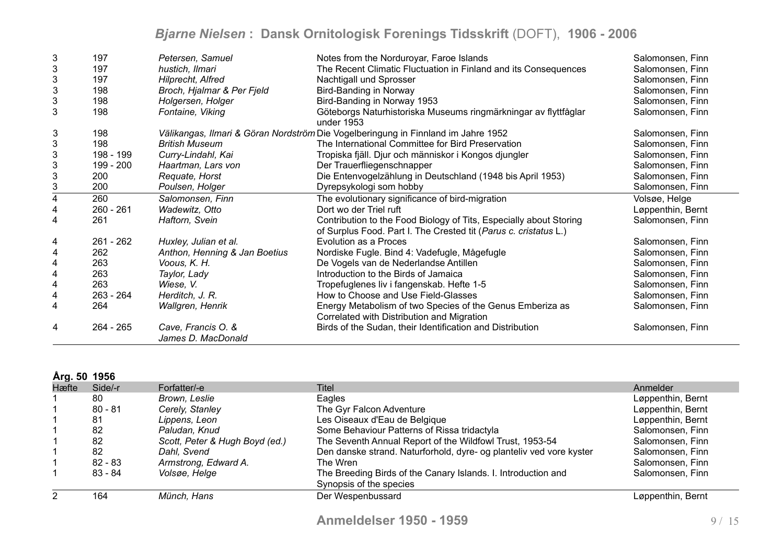| 3                         | 197         | Petersen, Samuel                         | Notes from the Norduroyar, Faroe Islands                                                                                               | Salomonsen, Finn  |
|---------------------------|-------------|------------------------------------------|----------------------------------------------------------------------------------------------------------------------------------------|-------------------|
| $\ensuremath{\mathsf{3}}$ | 197         | hustich, Ilmari                          | The Recent Climatic Fluctuation in Finland and its Consequences                                                                        | Salomonsen, Finn  |
| $\ensuremath{\mathsf{3}}$ | 197         | <b>Hilprecht, Alfred</b>                 | Nachtigall und Sprosser                                                                                                                | Salomonsen, Finn  |
| $\mathbf{3}$              | 198         | Broch, Hjalmar & Per Fjeld               | Bird-Banding in Norway                                                                                                                 | Salomonsen, Finn  |
| 3                         | 198         | Holgersen, Holger                        | Bird-Banding in Norway 1953                                                                                                            | Salomonsen, Finn  |
| 3                         | 198         | Fontaine, Viking                         | Göteborgs Naturhistoriska Museums ringmärkningar av flyttfåglar<br>under 1953                                                          | Salomonsen, Finn  |
| 3                         | 198         |                                          | Välikangas, Ilmari & Göran Nordström Die Vogelberingung in Finnland im Jahre 1952                                                      | Salomonsen, Finn  |
| 3                         | 198         | <b>British Museum</b>                    | The International Committee for Bird Preservation                                                                                      | Salomonsen, Finn  |
| $\mathfrak{S}$            | 198 - 199   | Curry-Lindahl, Kai                       | Tropiska fjäll. Djur och människor i Kongos djungler                                                                                   | Salomonsen, Finn  |
| 3                         | 199 - 200   | Haartman, Lars von                       | Der Trauerfliegenschnapper                                                                                                             | Salomonsen, Finn  |
| $\mathsf 3$               | 200         | Requate, Horst                           | Die Entenvogelzählung in Deutschland (1948 bis April 1953)                                                                             | Salomonsen, Finn  |
| $\mathsf 3$               | 200         | Poulsen, Holger                          | Dyrepsykologi som hobby                                                                                                                | Salomonsen, Finn  |
| 4                         | 260         | Salomonsen, Finn                         | The evolutionary significance of bird-migration                                                                                        | Volsøe, Helge     |
|                           | $260 - 261$ | Wadewitz, Otto                           | Dort wo der Triel ruft                                                                                                                 | Løppenthin, Bernt |
| 4                         | 261         | Haftorn, Svein                           | Contribution to the Food Biology of Tits, Especially about Storing<br>of Surplus Food. Part I. The Crested tit (Parus c. cristatus L.) | Salomonsen, Finn  |
| 4                         | 261 - 262   | Huxley, Julian et al.                    | Evolution as a Proces                                                                                                                  | Salomonsen, Finn  |
| 4                         | 262         | Anthon, Henning & Jan Boetius            | Nordiske Fugle. Bind 4: Vadefugle, Mågefugle                                                                                           | Salomonsen, Finn  |
| 4                         | 263         | Voous, K. H.                             | De Vogels van de Nederlandse Antillen                                                                                                  | Salomonsen, Finn  |
| 4                         | 263         | Taylor, Lady                             | Introduction to the Birds of Jamaica                                                                                                   | Salomonsen, Finn  |
| 4                         | 263         | Wiese, V.                                | Tropefuglenes liv i fangenskab. Hefte 1-5                                                                                              | Salomonsen, Finn  |
| 4                         | $263 - 264$ | Herditch, J. R.                          | How to Choose and Use Field-Glasses                                                                                                    | Salomonsen, Finn  |
| 4                         | 264         | Wallgren, Henrik                         | Energy Metabolism of two Species of the Genus Emberiza as<br>Correlated with Distribution and Migration                                | Salomonsen, Finn  |
| 4                         | $264 - 265$ | Cave, Francis O. &<br>James D. MacDonald | Birds of the Sudan, their Identification and Distribution                                                                              | Salomonsen, Finn  |

#### **Årg. 50 1956**

| Hæfte | Side/-r   | Forfatter/-e                   | Titel                                                               | Anmelder          |
|-------|-----------|--------------------------------|---------------------------------------------------------------------|-------------------|
|       | 80        | Brown, Leslie                  | Eagles                                                              | Løppenthin, Bernt |
|       | $80 - 81$ | Cerely, Stanley                | The Gyr Falcon Adventure                                            | Løppenthin, Bernt |
|       | 81        | Lippens, Leon                  | Les Oiseaux d'Eau de Belgique                                       | Løppenthin, Bernt |
|       | 82        | Paludan, Knud                  | Some Behaviour Patterns of Rissa tridactyla                         | Salomonsen, Finn  |
|       | 82        | Scott, Peter & Hugh Boyd (ed.) | The Seventh Annual Report of the Wildfowl Trust, 1953-54            | Salomonsen, Finn  |
|       | 82        | Dahl, Svend                    | Den danske strand. Naturforhold, dyre- og planteliv ved vore kyster | Salomonsen, Finn  |
|       | $82 - 83$ | Armstrong, Edward A.           | The Wren                                                            | Salomonsen, Finn  |
|       | $83 - 84$ | Volsøe, Helge                  | The Breeding Birds of the Canary Islands. I. Introduction and       | Salomonsen, Finn  |
|       |           |                                | Synopsis of the species                                             |                   |
|       | 164       | Münch, Hans                    | Der Wespenbussard                                                   | Løppenthin, Bernt |
|       |           |                                |                                                                     |                   |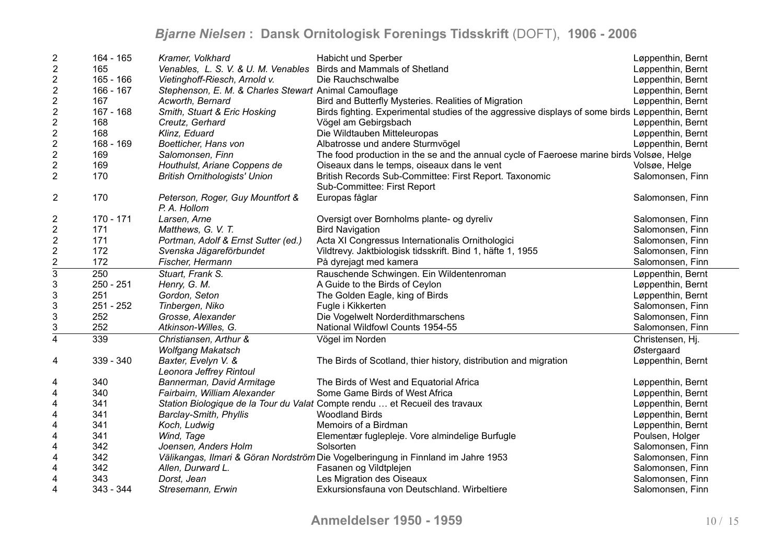| $\overline{2}$                                       | 164 - 165   | Kramer, Volkhard                                                  | Habicht und Sperber                                                                             | Løppenthin, Bernt |
|------------------------------------------------------|-------------|-------------------------------------------------------------------|-------------------------------------------------------------------------------------------------|-------------------|
| $\boldsymbol{2}$                                     | 165         | Venables, L. S. V. & U. M. Venables Birds and Mammals of Shetland |                                                                                                 | Løppenthin, Bernt |
| $\sqrt{2}$                                           | $165 - 166$ | Vietinghoff-Riesch, Arnold v.                                     | Die Rauchschwalbe                                                                               | Løppenthin, Bernt |
| $\boldsymbol{2}$                                     | 166 - 167   | Stephenson, E. M. & Charles Stewart Animal Camouflage             |                                                                                                 | Løppenthin, Bernt |
| $\sqrt{2}$                                           | 167         | Acworth, Bernard                                                  | Bird and Butterfly Mysteries. Realities of Migration                                            | Løppenthin, Bernt |
|                                                      | 167 - 168   | Smith, Stuart & Eric Hosking                                      | Birds fighting. Experimental studies of the aggressive displays of some birds Løppenthin, Bernt |                   |
| $\frac{2}{2}$                                        | 168         | Creutz, Gerhard                                                   | Vögel am Gebirgsbach                                                                            | Løppenthin, Bernt |
| $\sqrt{2}$                                           | 168         | Klinz, Eduard                                                     | Die Wildtauben Mitteleuropas                                                                    | Løppenthin, Bernt |
|                                                      | 168 - 169   | Boetticher, Hans von                                              | Albatrosse und andere Sturmvögel                                                                | Løppenthin, Bernt |
| $\begin{array}{c} 2 \\ 2 \end{array}$                | 169         | Salomonsen, Finn                                                  | The food production in the se and the annual cycle of Faeroese marine birds Volsøe, Helge       |                   |
|                                                      | 169         | Houthulst, Ariane Coppens de                                      | Oiseaux dans le temps, oiseaux dans le vent                                                     | Volsøe, Helge     |
| $\begin{array}{c} 2 \\ 2 \end{array}$                | 170         | <b>British Ornithologists' Union</b>                              | British Records Sub-Committee: First Report. Taxonomic                                          | Salomonsen, Finn  |
|                                                      |             |                                                                   | Sub-Committee: First Report                                                                     |                   |
| $\overline{2}$                                       | 170         | Peterson, Roger, Guy Mountfort &                                  | Europas fåglar                                                                                  | Salomonsen, Finn  |
|                                                      |             | P. A. Hollom                                                      |                                                                                                 |                   |
| 2                                                    | $170 - 171$ | Larsen, Arne                                                      | Oversigt over Bornholms plante- og dyreliv                                                      | Salomonsen, Finn  |
| $\boldsymbol{2}$                                     | 171         | Matthews, G. V. T.                                                | <b>Bird Navigation</b>                                                                          | Salomonsen, Finn  |
|                                                      | 171         | Portman, Adolf & Ernst Sutter (ed.)                               | Acta XI Congressus Internationalis Ornithologici                                                | Salomonsen, Finn  |
|                                                      | 172         | Svenska Jägareförbundet                                           | Vildtrevy. Jaktbiologisk tidsskrift. Bind 1, häfte 1, 1955                                      | Salomonsen, Finn  |
|                                                      | 172         | Fischer, Hermann                                                  | På dyrejagt med kamera                                                                          | Salomonsen, Finn  |
| $\begin{array}{c}\n2 \\ 2 \\ \hline\n3\n\end{array}$ | 250         | Stuart, Frank S.                                                  | Rauschende Schwingen. Ein Wildentenroman                                                        | Løppenthin, Bernt |
| $\mathfrak{S}$                                       | 250 - 251   | Henry, G. M.                                                      | A Guide to the Birds of Ceylon                                                                  | Løppenthin, Bernt |
| $\ensuremath{\mathsf{3}}$                            | 251         | Gordon, Seton                                                     | The Golden Eagle, king of Birds                                                                 | Løppenthin, Bernt |
| $\mathsf 3$                                          | 251 - 252   | Tinbergen, Niko                                                   | Fugle i Kikkerten                                                                               | Salomonsen, Finn  |
| $\ensuremath{\mathsf{3}}$                            | 252         | Grosse, Alexander                                                 | Die Vogelwelt Norderdithmarschens                                                               | Salomonsen, Finn  |
| $\frac{3}{4}$                                        | 252         | Atkinson-Willes, G.                                               | National Wildfowl Counts 1954-55                                                                | Salomonsen, Finn  |
|                                                      | 339         | Christiansen, Arthur &                                            | Vögel im Norden                                                                                 | Christensen, Hj.  |
|                                                      |             | <b>Wolfgang Makatsch</b>                                          |                                                                                                 | Østergaard        |
| 4                                                    | 339 - 340   | Baxter, Evelyn V. &                                               | The Birds of Scotland, thier history, distribution and migration                                | Løppenthin, Bernt |
|                                                      |             | Leonora Jeffrey Rintoul                                           |                                                                                                 |                   |
| 4                                                    | 340         | Bannerman, David Armitage                                         | The Birds of West and Equatorial Africa                                                         | Løppenthin, Bernt |
| 4                                                    | 340         | Fairbairn, William Alexander                                      | Some Game Birds of West Africa                                                                  | Løppenthin, Bernt |
| $\overline{\mathbf{4}}$                              | 341         |                                                                   | Station Biologique de la Tour du Valat Compte rendu  et Recueil des travaux                     | Løppenthin, Bernt |
| $\overline{\mathbf{4}}$                              | 341         | Barclay-Smith, Phyllis                                            | <b>Woodland Birds</b>                                                                           | Løppenthin, Bernt |
| $\overline{\mathbf{4}}$                              | 341         | Koch, Ludwig                                                      | Memoirs of a Birdman                                                                            | Løppenthin, Bernt |
| $\overline{\mathbf{4}}$                              | 341         | Wind, Tage                                                        | Elementær fuglepleje. Vore almindelige Burfugle                                                 | Poulsen, Holger   |
| $\overline{\mathbf{4}}$                              | 342         | Joensen, Anders Holm                                              | Solsorten                                                                                       | Salomonsen, Finn  |
| $\overline{\mathbf{4}}$                              | 342         |                                                                   | Välikangas, Ilmari & Göran Nordström Die Vogelberingung in Finnland im Jahre 1953               | Salomonsen, Finn  |
| 4                                                    | 342         | Allen, Durward L.                                                 | Fasanen og Vildtplejen                                                                          | Salomonsen, Finn  |
| 4                                                    | 343         | Dorst, Jean                                                       | Les Migration des Oiseaux                                                                       | Salomonsen, Finn  |
| $\overline{4}$                                       | 343 - 344   | Stresemann, Erwin                                                 | Exkursionsfauna von Deutschland. Wirbeltiere                                                    | Salomonsen, Finn  |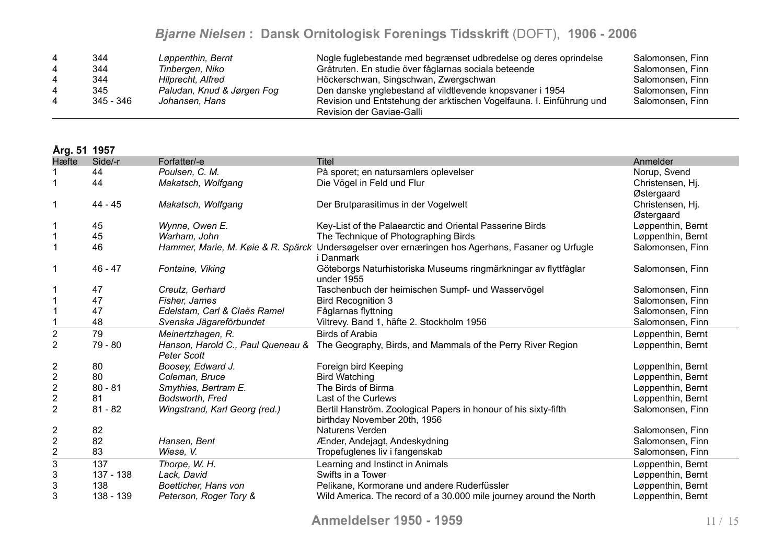|   | 344         | Løppenthin, Bernt          | Nogle fuglebestande med begrænset udbredelse og deres oprindelse                                  | Salomonsen, Finn |
|---|-------------|----------------------------|---------------------------------------------------------------------------------------------------|------------------|
|   | 344         | Tinbergen, Niko            | Gråtruten. En studie över fåglarnas sociala beteende                                              | Salomonsen, Finn |
|   | 344         | <b>Hilprecht, Alfred</b>   | Höckerschwan, Singschwan, Zwergschwan                                                             | Salomonsen, Finn |
|   | 345         | Paludan, Knud & Jørgen Fog | Den danske ynglebestand af vildtlevende knopsvaner i 1954                                         | Salomonsen, Finn |
| 4 | $345 - 346$ | Johansen, Hans             | Revision und Entstehung der arktischen Vogelfauna. I. Einführung und<br>Revision der Gaviae-Galli | Salomonsen, Finn |

**Årg. 51 1957**

| Hæfte                   | Side/-r   | Forfatter/-e                  | <b>Titel</b>                                                                                                   | Anmelder          |
|-------------------------|-----------|-------------------------------|----------------------------------------------------------------------------------------------------------------|-------------------|
|                         | 44        | Poulsen, C. M.                | På sporet; en natursamlers oplevelser                                                                          | Norup, Svend      |
|                         | 44        | Makatsch, Wolfgang            | Die Vögel in Feld und Flur                                                                                     | Christensen, Hj.  |
|                         |           |                               |                                                                                                                | Østergaard        |
|                         | 44 - 45   | Makatsch, Wolfgang            | Der Brutparasitimus in der Vogelwelt                                                                           | Christensen, Hj.  |
|                         |           |                               |                                                                                                                | Østergaard        |
|                         | 45        | Wynne, Owen E.                | Key-List of the Palaearctic and Oriental Passerine Birds                                                       | Løppenthin, Bernt |
|                         | 45        | Warham, John                  | The Technique of Photographing Birds                                                                           | Løppenthin, Bernt |
|                         | 46        |                               | Hammer, Marie, M. Køie & R. Spärck Undersøgelser over ernæringen hos Agerhøns, Fasaner og Urfugle<br>i Danmark | Salomonsen, Finn  |
|                         | $46 - 47$ | Fontaine, Viking              | Göteborgs Naturhistoriska Museums ringmärkningar av flyttfåglar                                                | Salomonsen, Finn  |
|                         |           |                               | under 1955                                                                                                     |                   |
|                         | 47        | Creutz, Gerhard               | Taschenbuch der heimischen Sumpf- und Wasservögel                                                              | Salomonsen, Finn  |
|                         | 47        | Fisher, James                 | <b>Bird Recognition 3</b>                                                                                      | Salomonsen, Finn  |
|                         | 47        | Edelstam, Carl & Claës Ramel  | Fåglarnas flyttning                                                                                            | Salomonsen, Finn  |
|                         | 48        | Svenska Jägareförbundet       | Viltrevy. Band 1, häfte 2. Stockholm 1956                                                                      | Salomonsen, Finn  |
| $\overline{c}$          | 79        | Meinertzhagen, R.             | <b>Birds of Arabia</b>                                                                                         | Løppenthin, Bernt |
| $\overline{2}$          | 79 - 80   | Peter Scott                   | Hanson, Harold C., Paul Queneau & The Geography, Birds, and Mammals of the Perry River Region                  | Løppenthin, Bernt |
| 2                       | 80        | Boosey, Edward J.             | Foreign bird Keeping                                                                                           | Løppenthin, Bernt |
| $\overline{\mathbf{c}}$ | 80        | Coleman, Bruce                | <b>Bird Watching</b>                                                                                           | Løppenthin, Bernt |
| $\boldsymbol{2}$        | $80 - 81$ | Smythies, Bertram E.          | The Birds of Birma                                                                                             | Løppenthin, Bernt |
| $\overline{c}$          | 81        | Bodsworth, Fred               | Last of the Curlews                                                                                            | Løppenthin, Bernt |
| $\overline{2}$          | $81 - 82$ | Wingstrand, Karl Georg (red.) | Bertil Hanström. Zoological Papers in honour of his sixty-fifth                                                | Salomonsen, Finn  |
|                         |           |                               | birthday November 20th, 1956                                                                                   |                   |
| 2                       | 82        |                               | Naturens Verden                                                                                                | Salomonsen, Finn  |
| $\overline{2}$          | 82        | Hansen, Bent                  | Ænder, Andejagt, Andeskydning                                                                                  | Salomonsen, Finn  |
| $\overline{\mathbf{c}}$ | 83        | Wiese, V.                     | Tropefuglenes liv i fangenskab                                                                                 | Salomonsen, Finn  |
| $\overline{3}$          | 137       | Thorpe, W. H.                 | Learning and Instinct in Animals                                                                               | Løppenthin, Bernt |
| 3                       | 137 - 138 | Lack, David                   | Swifts in a Tower                                                                                              | Løppenthin, Bernt |
| 3                       | 138       | Boetticher, Hans von          | Pelikane, Kormorane und andere Ruderfüssler                                                                    | Løppenthin, Bernt |
| 3                       | 138 - 139 | Peterson, Roger Tory &        | Wild America. The record of a 30.000 mile journey around the North                                             | Løppenthin, Bernt |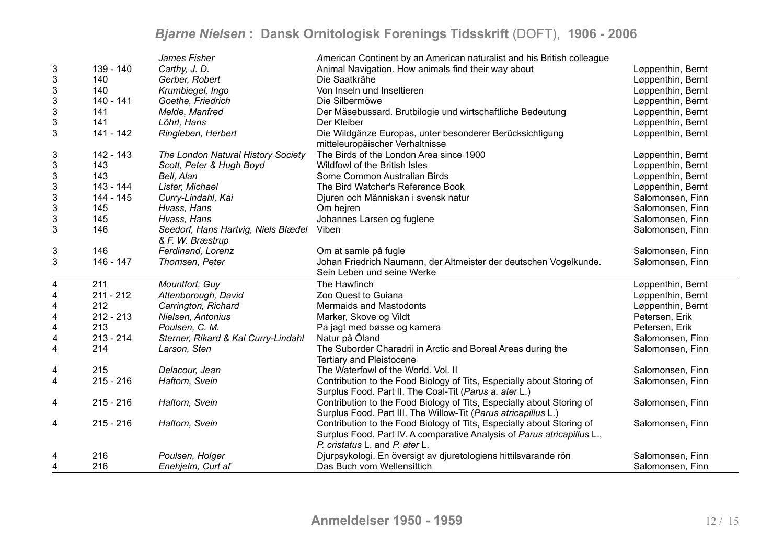|                           |             | James Fisher                        | American Continent by an American naturalist and his British colleague  |                   |
|---------------------------|-------------|-------------------------------------|-------------------------------------------------------------------------|-------------------|
| 3                         | 139 - 140   | Carthy, J. D.                       | Animal Navigation. How animals find their way about                     | Løppenthin, Bernt |
| $\ensuremath{\mathsf{3}}$ | 140         | Gerber, Robert                      | Die Saatkrähe                                                           | Løppenthin, Bernt |
| 3                         | 140         | Krumbiegel, Ingo                    | Von Inseln und Inseltieren                                              | Løppenthin, Bernt |
| $\ensuremath{\mathsf{3}}$ | 140 - 141   | Goethe, Friedrich                   | Die Silbermöwe                                                          | Løppenthin, Bernt |
| $\ensuremath{\mathsf{3}}$ | 141         | Melde, Manfred                      | Der Mäsebussard. Brutbilogie und wirtschaftliche Bedeutung              | Løppenthin, Bernt |
| $\ensuremath{\mathsf{3}}$ | 141         | Löhrl, Hans                         | Der Kleiber                                                             | Løppenthin, Bernt |
| 3                         | 141 - 142   | Ringleben, Herbert                  | Die Wildgänze Europas, unter besonderer Berücksichtigung                | Løppenthin, Bernt |
|                           |             |                                     | mitteleuropäischer Verhaltnisse                                         |                   |
| 3                         | 142 - 143   | The London Natural History Society  | The Birds of the London Area since 1900                                 | Løppenthin, Bernt |
| $\mathfrak{B}$            | 143         | Scott, Peter & Hugh Boyd            | Wildfowl of the British Isles                                           | Løppenthin, Bernt |
| $\sqrt{3}$                | 143         | Bell, Alan                          | Some Common Australian Birds                                            | Løppenthin, Bernt |
| $\mathsf 3$               | 143 - 144   | Lister, Michael                     | The Bird Watcher's Reference Book                                       | Løppenthin, Bernt |
| $\ensuremath{\mathsf{3}}$ | 144 - 145   | Curry-Lindahl, Kai                  | Djuren och Människan i svensk natur                                     | Salomonsen, Finn  |
| $\ensuremath{\mathsf{3}}$ | 145         | Hvass, Hans                         | Om hejren                                                               | Salomonsen, Finn  |
| $\ensuremath{\mathsf{3}}$ | 145         | Hvass, Hans                         | Johannes Larsen og fuglene                                              | Salomonsen, Finn  |
| $\mathfrak{S}$            | 146         | Seedorf, Hans Hartvig, Niels Blædel | Viben                                                                   | Salomonsen, Finn  |
|                           |             | & F. W. Bræstrup                    |                                                                         |                   |
| $\ensuremath{\mathsf{3}}$ | 146         | Ferdinand, Lorenz                   | Om at samle på fugle                                                    | Salomonsen, Finn  |
| 3                         | 146 - 147   | Thomsen, Peter                      | Johan Friedrich Naumann, der Altmeister der deutschen Vogelkunde.       | Salomonsen, Finn  |
|                           |             |                                     | Sein Leben und seine Werke                                              |                   |
| 4                         | 211         | Mountfort, Guy                      | The Hawfinch                                                            | Løppenthin, Bernt |
| $\overline{\mathbf{4}}$   | $211 - 212$ | Attenborough, David                 | Zoo Quest to Guiana                                                     | Løppenthin, Bernt |
| $\overline{\mathbf{4}}$   | 212         | Carrington, Richard                 | <b>Mermaids and Mastodonts</b>                                          | Løppenthin, Bernt |
| $\overline{\mathbf{4}}$   | $212 - 213$ | Nielsen, Antonius                   | Marker, Skove og Vildt                                                  | Petersen, Erik    |
| $\overline{\mathbf{4}}$   | 213         | Poulsen, C. M.                      | På jagt med bøsse og kamera                                             | Petersen, Erik    |
| $\overline{\mathbf{4}}$   | $213 - 214$ | Sterner, Rikard & Kai Curry-Lindahl | Natur på Öland                                                          | Salomonsen, Finn  |
| 4                         | 214         | Larson, Sten                        | The Suborder Charadrii in Arctic and Boreal Areas during the            | Salomonsen, Finn  |
|                           |             |                                     | <b>Tertiary and Pleistocene</b>                                         |                   |
| 4                         | 215         | Delacour, Jean                      | The Waterfowl of the World. Vol. II                                     | Salomonsen, Finn  |
| $\overline{\mathbf{4}}$   | $215 - 216$ | Haftorn, Svein                      | Contribution to the Food Biology of Tits, Especially about Storing of   | Salomonsen, Finn  |
|                           |             |                                     | Surplus Food. Part II. The Coal-Tit (Parus a. ater L.)                  |                   |
| 4                         | $215 - 216$ | Haftorn, Svein                      | Contribution to the Food Biology of Tits, Especially about Storing of   | Salomonsen, Finn  |
|                           |             |                                     | Surplus Food. Part III. The Willow-Tit (Parus atricapillus L.)          |                   |
| 4                         | $215 - 216$ | Haftorn, Svein                      | Contribution to the Food Biology of Tits, Especially about Storing of   | Salomonsen, Finn  |
|                           |             |                                     | Surplus Food. Part IV. A comparative Analysis of Parus atricapillus L., |                   |
|                           |             |                                     | P. cristatus L. and P. ater L.                                          |                   |
| 4                         | 216         | Poulsen, Holger                     | Djurpsykologi. En översigt av djuretologiens hittilsvarande rön         | Salomonsen, Finn  |
| 4                         | 216         | Enehjelm, Curt af                   | Das Buch vom Wellensittich                                              | Salomonsen, Finn  |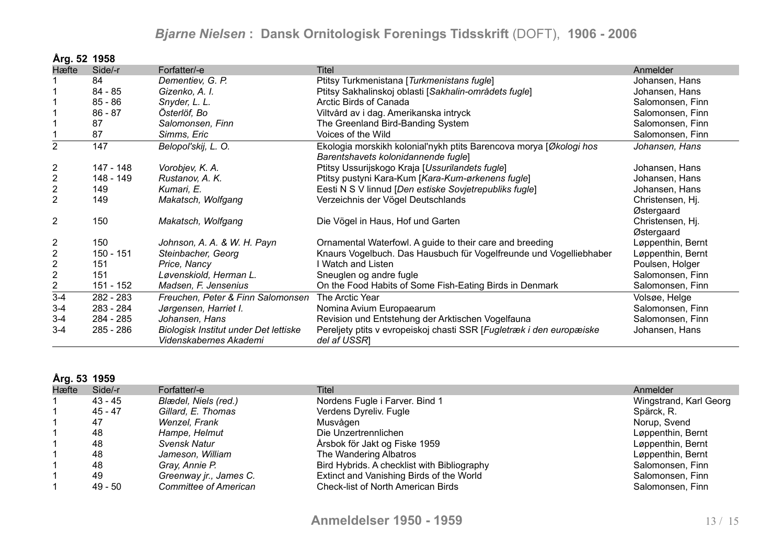| Årg. 52 1958     |           |                                       |                                                                      |                   |
|------------------|-----------|---------------------------------------|----------------------------------------------------------------------|-------------------|
| Hæfte            | Side/-r   | Forfatter/-e                          | Titel                                                                | Anmelder          |
|                  | 84        | Dementiev, G. P.                      | Ptitsy Turkmenistana [Turkmenistans fugle]                           | Johansen, Hans    |
|                  | 84 - 85   | Gizenko, A. I.                        | Ptitsy Sakhalinskoj oblasti [Sakhalin-områdets fugle]                | Johansen, Hans    |
|                  | $85 - 86$ | Snyder, L. L.                         | Arctic Birds of Canada                                               | Salomonsen, Finn  |
|                  | $86 - 87$ | Österlöf, Bo                          | Viltvård av i dag. Amerikanska intryck                               | Salomonsen, Finn  |
|                  | 87        | Salomonsen, Finn                      | The Greenland Bird-Banding System                                    | Salomonsen, Finn  |
|                  | 87        | Simms, Eric                           | Voices of the Wild                                                   | Salomonsen, Finn  |
| $\overline{2}$   | 147       | Belopol'skij, L. O.                   | Ekologia morskikh kolonial'nykh ptits Barencova morya [Økologi hos   | Johansen, Hans    |
|                  |           |                                       | Barentshavets kolonidannende fugle]                                  |                   |
| $\overline{2}$   | 147 - 148 | Vorobjev, K. A.                       | Ptitsy Ussurijskogo Kraja [Ussurilandets fugle]                      | Johansen, Hans    |
| $\overline{2}$   | 148 - 149 | Rustanov, A. K.                       | Ptitsy pustyni Kara-Kum [Kara-Kum-ørkenens fugle]                    | Johansen, Hans    |
| $\boldsymbol{2}$ | 149       | Kumari, E.                            | Eesti N S V linnud [Den estiske Sovjetrepubliks fugle]               | Johansen, Hans    |
| $\overline{2}$   | 149       | Makatsch, Wolfgang                    | Verzeichnis der Vögel Deutschlands                                   | Christensen, Hj.  |
|                  |           |                                       |                                                                      | Østergaard        |
| $\overline{2}$   | 150       | Makatsch, Wolfgang                    | Die Vögel in Haus, Hof und Garten                                    | Christensen, Hj.  |
|                  |           |                                       |                                                                      | Østergaard        |
| $\overline{c}$   | 150       | Johnson, A. A. & W. H. Payn           | Ornamental Waterfowl. A guide to their care and breeding             | Løppenthin, Bernt |
| $\boldsymbol{2}$ | 150 - 151 | Steinbacher, Georg                    | Knaurs Vogelbuch. Das Hausbuch für Vogelfreunde und Vogelliebhaber   | Løppenthin, Bernt |
| $\sqrt{2}$       | 151       | Price, Nancy                          | I Watch and Listen                                                   | Poulsen, Holger   |
| $\boldsymbol{2}$ | 151       | Løvenskiold, Herman L.                | Sneuglen og andre fugle                                              | Salomonsen, Finn  |
| $\overline{c}$   | 151 - 152 | Madsen, F. Jensenius                  | On the Food Habits of Some Fish-Eating Birds in Denmark              | Salomonsen, Finn  |
| $3-4$            | 282 - 283 | Freuchen, Peter & Finn Salomonsen     | The Arctic Year                                                      | Volsøe, Helge     |
| $3 - 4$          | 283 - 284 | Jørgensen, Harriet I.                 | Nomina Avium Europaearum                                             | Salomonsen, Finn  |
| $3 - 4$          | 284 - 285 | Johansen, Hans                        | Revision und Entstehung der Arktischen Vogelfauna                    | Salomonsen, Finn  |
| $3 - 4$          | 285 - 286 | Biologisk Institut under Det lettiske | Pereljety ptits v evropeiskoj chasti SSR [Fugletræk i den europæiske | Johansen, Hans    |
|                  |           | Videnskabernes Akademi                | del af USSR]                                                         |                   |

#### **Årg. 53 1959**

| Hæfte | Side/-r | Forfatter/-e                 | Titel                                       | Anmelder               |
|-------|---------|------------------------------|---------------------------------------------|------------------------|
|       | 43 - 45 | Blædel, Niels (red.)         | Nordens Fugle i Farver. Bind 1              | Wingstrand, Karl Georg |
|       | 45 - 47 | Gillard, E. Thomas           | Verdens Dyreliv. Fugle                      | Spärck, R.             |
|       | 47      | Wenzel, Frank                | Musvågen                                    | Norup, Svend           |
|       | 48      | Hampe, Helmut                | Die Unzertrennlichen                        | Løppenthin, Bernt      |
|       | 48      | Svensk Natur                 | Årsbok för Jakt og Fiske 1959               | Løppenthin, Bernt      |
|       | 48      | Jameson, William             | The Wandering Albatros                      | Løppenthin, Bernt      |
|       | 48      | Gray, Annie P.               | Bird Hybrids. A checklist with Bibliography | Salomonsen, Finn       |
|       | 49      | Greenway jr., James C.       | Extinct and Vanishing Birds of the World    | Salomonsen, Finn       |
|       | 49 - 50 | <b>Committee of American</b> | <b>Check-list of North American Birds</b>   | Salomonsen, Finn       |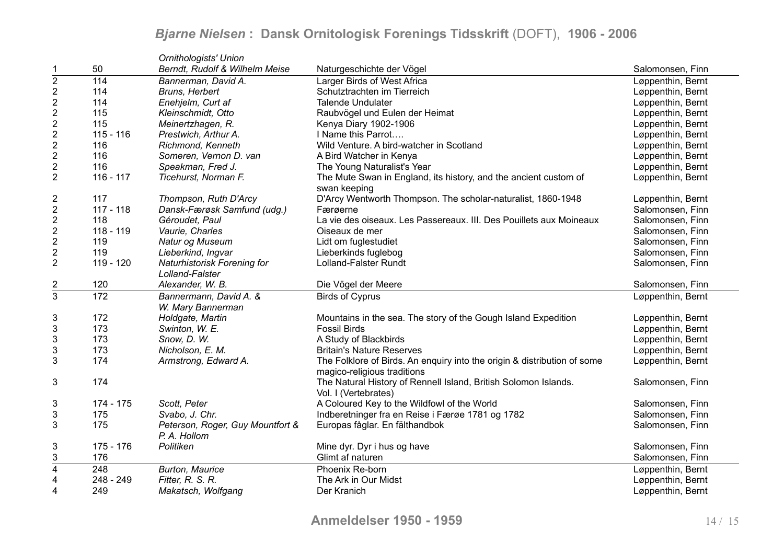|                           |             | Ornithologists' Union                            |                                                                                                         |                   |
|---------------------------|-------------|--------------------------------------------------|---------------------------------------------------------------------------------------------------------|-------------------|
| 1                         | 50          | Berndt, Rudolf & Wilhelm Meise                   | Naturgeschichte der Vögel                                                                               | Salomonsen, Finn  |
| $\overline{2}$            | 114         | Bannerman, David A.                              | Larger Birds of West Africa                                                                             | Løppenthin, Bernt |
| $\sqrt{2}$                | 114         | Bruns, Herbert                                   | Schutztrachten im Tierreich                                                                             | Løppenthin, Bernt |
| $\overline{2}$            | 114         | Enehjelm, Curt af                                | <b>Talende Undulater</b>                                                                                | Løppenthin, Bernt |
| $\overline{2}$            | 115         | Kleinschmidt, Otto                               | Raubvögel und Eulen der Heimat                                                                          | Løppenthin, Bernt |
| $\overline{2}$            | 115         | Meinertzhagen, R.                                | Kenya Diary 1902-1906                                                                                   | Løppenthin, Bernt |
| $\sqrt{2}$                | $115 - 116$ | Prestwich, Arthur A.                             | I Name this Parrot                                                                                      | Løppenthin, Bernt |
| $\sqrt{2}$                | 116         | Richmond, Kenneth                                | Wild Venture. A bird-watcher in Scotland                                                                | Løppenthin, Bernt |
| $\boldsymbol{2}$          | 116         | Someren, Vernon D. van                           | A Bird Watcher in Kenya                                                                                 | Løppenthin, Bernt |
| $\sqrt{2}$                | 116         | Speakman, Fred J.                                | The Young Naturalist's Year                                                                             | Løppenthin, Bernt |
| $\overline{2}$            | $116 - 117$ | Ticehurst, Norman F.                             | The Mute Swan in England, its history, and the ancient custom of<br>swan keeping                        | Løppenthin, Bernt |
| $\sqrt{2}$                | 117         | Thompson, Ruth D'Arcy                            | D'Arcy Wentworth Thompson. The scholar-naturalist, 1860-1948                                            | Løppenthin, Bernt |
| $\sqrt{2}$                | $117 - 118$ | Dansk-Færøsk Samfund (udg.)                      | Færøerne                                                                                                | Salomonsen, Finn  |
| $\sqrt{2}$                | 118         | Géroudet, Paul                                   | La vie des oiseaux. Les Passereaux. III. Des Pouillets aux Moineaux                                     | Salomonsen, Finn  |
| $\overline{2}$            | 118 - 119   | Vaurie, Charles                                  | Oiseaux de mer                                                                                          | Salomonsen, Finn  |
| $\sqrt{2}$                | 119         | Natur og Museum                                  | Lidt om fuglestudiet                                                                                    | Salomonsen, Finn  |
| $\overline{2}$            | 119         | Lieberkind, Ingvar                               | Lieberkinds fuglebog                                                                                    | Salomonsen, Finn  |
| $\overline{2}$            | 119 - 120   | Naturhistorisk Forening for                      | Lolland-Falster Rundt                                                                                   | Salomonsen, Finn  |
|                           |             | Lolland-Falster                                  |                                                                                                         |                   |
| $rac{2}{3}$               | 120         | Alexander, W. B.                                 | Die Vögel der Meere                                                                                     | Salomonsen, Finn  |
|                           | 172         | Bannermann, David A. &                           | <b>Birds of Cyprus</b>                                                                                  | Løppenthin, Bernt |
|                           |             | W. Mary Bannerman                                |                                                                                                         |                   |
| $\sqrt{3}$                | 172         | Holdgate, Martin                                 | Mountains in the sea. The story of the Gough Island Expedition                                          | Løppenthin, Bernt |
| 3                         | 173         | Swinton, W. E.                                   | <b>Fossil Birds</b>                                                                                     | Løppenthin, Bernt |
| $\mathbf{3}$              | 173         | Snow, D. W.                                      | A Study of Blackbirds                                                                                   | Løppenthin, Bernt |
| $\ensuremath{\mathsf{3}}$ | 173         | Nicholson, E. M.                                 | <b>Britain's Nature Reserves</b>                                                                        | Løppenthin, Bernt |
| $\mathbf{3}$              | 174         | Armstrong, Edward A.                             | The Folklore of Birds. An enquiry into the origin & distribution of some<br>magico-religious traditions | Løppenthin, Bernt |
| $\mathbf{3}$              | 174         |                                                  | The Natural History of Rennell Island, British Solomon Islands.<br>Vol. I (Vertebrates)                 | Salomonsen, Finn  |
| 3                         | 174 - 175   | Scott, Peter                                     | A Coloured Key to the Wildfowl of the World                                                             | Salomonsen, Finn  |
| $\sqrt{3}$                | 175         | Svabo, J. Chr.                                   | Indberetninger fra en Reise i Færøe 1781 og 1782                                                        | Salomonsen, Finn  |
| 3                         | 175         | Peterson, Roger, Guy Mountfort &<br>P. A. Hollom | Europas fåglar. En fälthandbok                                                                          | Salomonsen, Finn  |
| $\sqrt{3}$                | 175 - 176   | Politiken                                        | Mine dyr. Dyr i hus og have                                                                             | Salomonsen, Finn  |
| 3                         | 176         |                                                  | Glimt af naturen                                                                                        | Salomonsen, Finn  |
| $\overline{4}$            | 248         | <b>Burton, Maurice</b>                           | Phoenix Re-born                                                                                         | Løppenthin, Bernt |
| 4                         | 248 - 249   | Fitter, R. S. R.                                 | The Ark in Our Midst                                                                                    | Løppenthin, Bernt |
| 4                         | 249         | Makatsch, Wolfgang                               | Der Kranich                                                                                             | Løppenthin, Bernt |